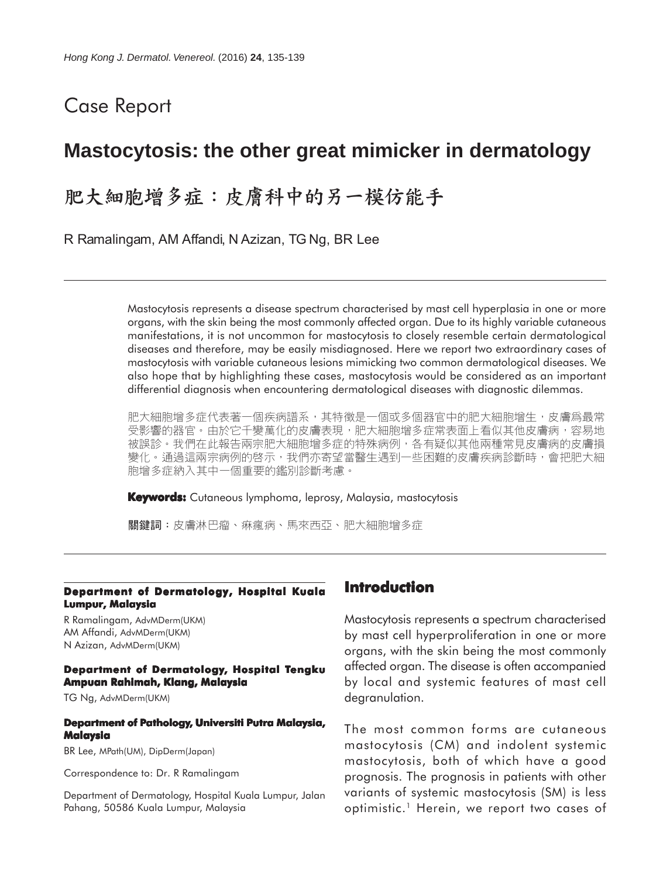# Case Report

# **Mastocytosis: the other great mimicker in dermatology**

# 肥大細胞增多症:皮膚科中的另一模仿能手

R Ramalingam, AM Affandi, N Azizan, TG Ng, BR Lee

Mastocytosis represents a disease spectrum characterised by mast cell hyperplasia in one or more organs, with the skin being the most commonly affected organ. Due to its highly variable cutaneous manifestations, it is not uncommon for mastocytosis to closely resemble certain dermatological diseases and therefore, may be easily misdiagnosed. Here we report two extraordinary cases of mastocytosis with variable cutaneous lesions mimicking two common dermatological diseases. We also hope that by highlighting these cases, mastocytosis would be considered as an important differential diagnosis when encountering dermatological diseases with diagnostic dilemmas.

肥大細胞增多症代表著一個疾病譜系,其特徵是一個或多個器官中的肥大細胞增生,皮膚爲最常 受影響的器官。由於它千變萬化的皮膚表現,肥大細胞增多症常表面上看似其他皮膚病,容易地 被誤診。我們在此報告兩宗肥大細胞增多症的特殊病例,各有疑似其他兩種常見皮膚病的皮膚損 變化。通過這兩宗病例的啓示,我們亦寄望當醫生遇到一些困難的皮膚疾病診斷時,會把肥大細 胞增多症納入其中一個重要的鑑別診斷考慮。

**Keywords:** Cutaneous lymphoma, leprosy, Malaysia, mastocytosis

關鍵詞:皮膚淋巴瘤、痳瘋病、馬來西亞、肥大細胞增多症

#### **Department of Dermatology, Hospital Kuala Lumpur, Malaysia**

R Ramalingam, AdvMDerm(UKM) AM Affandi, AdvMDerm(UKM) N Azizan, AdvMDerm(UKM)

#### **Department of Dermatology, Hospital Tengku Ampuan Rahimah, Klang, Malaysia**

TG Ng, AdvMDerm(UKM)

#### **Department of Pathology, Universiti Putra Malaysia, Malaysia**

BR Lee, MPath(UM), DipDerm(Japan)

Correspondence to: Dr. R Ramalingam

Department of Dermatology, Hospital Kuala Lumpur, Jalan Pahang, 50586 Kuala Lumpur, Malaysia

### **Introduction**

Mastocytosis represents a spectrum characterised by mast cell hyperproliferation in one or more organs, with the skin being the most commonly affected organ. The disease is often accompanied by local and systemic features of mast cell degranulation.

The most common forms are cutaneous mastocytosis (CM) and indolent systemic mastocytosis, both of which have a good prognosis. The prognosis in patients with other variants of systemic mastocytosis (SM) is less optimistic.<sup>1</sup> Herein, we report two cases of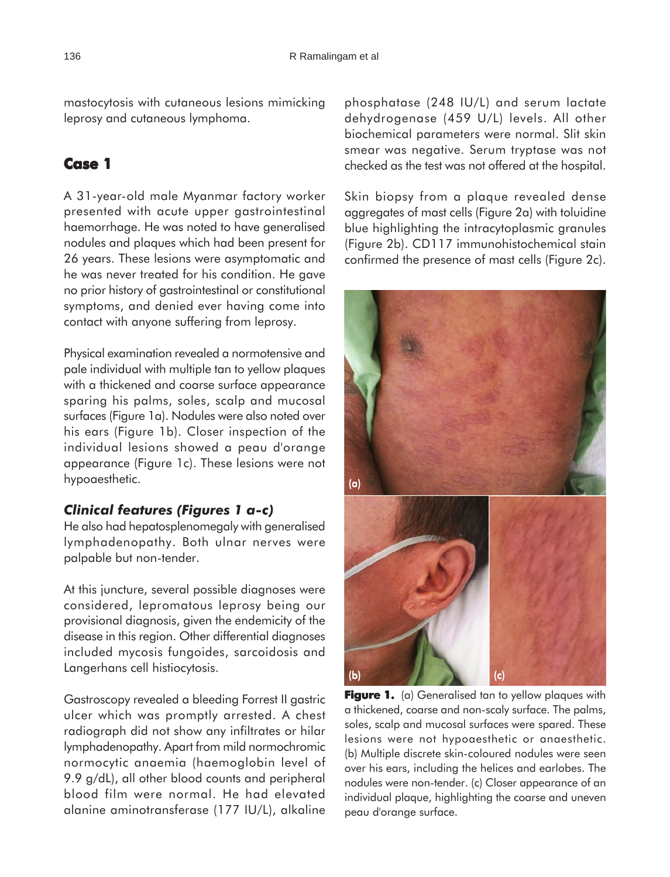mastocytosis with cutaneous lesions mimicking leprosy and cutaneous lymphoma.

# **Case 1**

A 31-year-old male Myanmar factory worker presented with acute upper gastrointestinal haemorrhage. He was noted to have generalised nodules and plaques which had been present for 26 years. These lesions were asymptomatic and he was never treated for his condition. He gave no prior history of gastrointestinal or constitutional symptoms, and denied ever having come into contact with anyone suffering from leprosy.

Physical examination revealed a normotensive and pale individual with multiple tan to yellow plaques with a thickened and coarse surface appearance sparing his palms, soles, scalp and mucosal surfaces (Figure 1a). Nodules were also noted over his ears (Figure 1b). Closer inspection of the individual lesions showed a peau d'orange appearance (Figure 1c). These lesions were not hypoaesthetic.

#### *Clinical features (Figures 1 a-c)*

He also had hepatosplenomegaly with generalised lymphadenopathy. Both ulnar nerves were palpable but non-tender.

At this juncture, several possible diagnoses were considered, lepromatous leprosy being our provisional diagnosis, given the endemicity of the disease in this region. Other differential diagnoses included mycosis fungoides, sarcoidosis and Langerhans cell histiocytosis.

Gastroscopy revealed a bleeding Forrest II gastric ulcer which was promptly arrested. A chest radiograph did not show any infiltrates or hilar lymphadenopathy. Apart from mild normochromic normocytic anaemia (haemoglobin level of 9.9 g/dL), all other blood counts and peripheral blood film were normal. He had elevated alanine aminotransferase (177 IU/L), alkaline

phosphatase (248 IU/L) and serum lactate dehydrogenase (459 U/L) levels. All other biochemical parameters were normal. Slit skin smear was negative. Serum tryptase was not checked as the test was not offered at the hospital.

Skin biopsy from a plaque revealed dense aggregates of mast cells (Figure 2a) with toluidine blue highlighting the intracytoplasmic granules (Figure 2b). CD117 immunohistochemical stain confirmed the presence of mast cells (Figure 2c).



**Figure 1.** (a) Generalised tan to yellow plaques with a thickened, coarse and non-scaly surface. The palms, soles, scalp and mucosal surfaces were spared. These lesions were not hypoaesthetic or anaesthetic. (b) Multiple discrete skin-coloured nodules were seen over his ears, including the helices and earlobes. The nodules were non-tender. (c) Closer appearance of an individual plaque, highlighting the coarse and uneven peau d'orange surface.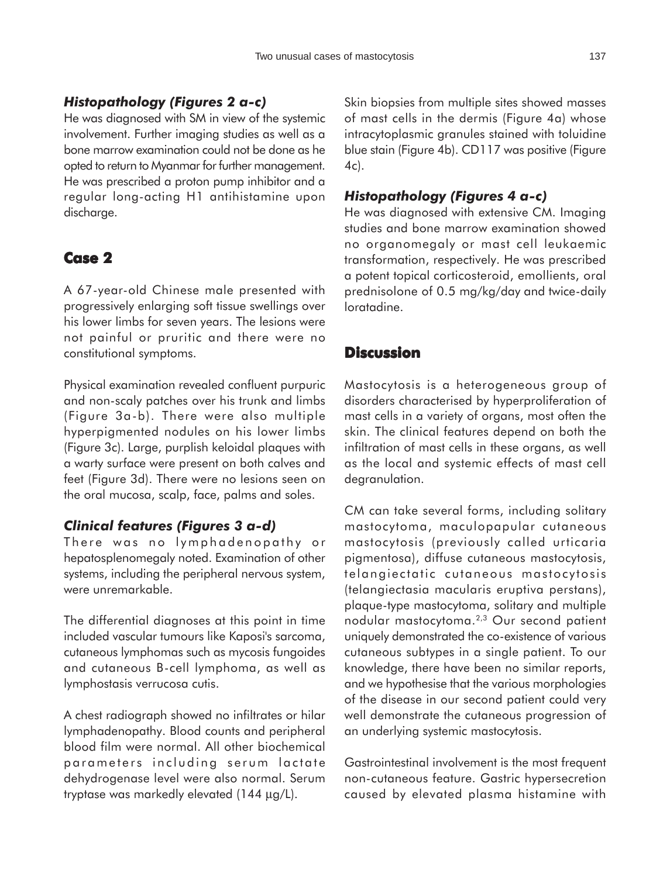### *Histopathology (Figures 2 a-c)*

He was diagnosed with SM in view of the systemic involvement. Further imaging studies as well as a bone marrow examination could not be done as he opted to return to Myanmar for further management. He was prescribed a proton pump inhibitor and a regular long-acting H1 antihistamine upon discharge.

## **Case 2**

A 67-year-old Chinese male presented with progressively enlarging soft tissue swellings over his lower limbs for seven years. The lesions were not painful or pruritic and there were no constitutional symptoms.

Physical examination revealed confluent purpuric and non-scaly patches over his trunk and limbs (Figure 3a-b). There were also multiple hyperpigmented nodules on his lower limbs (Figure 3c). Large, purplish keloidal plaques with a warty surface were present on both calves and feet (Figure 3d). There were no lesions seen on the oral mucosa, scalp, face, palms and soles.

## *Clinical features (Figures 3 a-d)*

There was no lymphadenopathy or hepatosplenomegaly noted. Examination of other systems, including the peripheral nervous system, were unremarkable.

The differential diagnoses at this point in time included vascular tumours like Kaposi's sarcoma, cutaneous lymphomas such as mycosis fungoides and cutaneous B-cell lymphoma, as well as lymphostasis verrucosa cutis.

A chest radiograph showed no infiltrates or hilar lymphadenopathy. Blood counts and peripheral blood film were normal. All other biochemical parameters including serum lactate dehydrogenase level were also normal. Serum tryptase was markedly elevated (144 µg/L).

Skin biopsies from multiple sites showed masses of mast cells in the dermis (Figure 4a) whose intracytoplasmic granules stained with toluidine blue stain (Figure 4b). CD117 was positive (Figure 4c).

### *Histopathology (Figures 4 a-c)*

He was diagnosed with extensive CM. Imaging studies and bone marrow examination showed no organomegaly or mast cell leukaemic transformation, respectively. He was prescribed a potent topical corticosteroid, emollients, oral prednisolone of 0.5 mg/kg/day and twice-daily loratadine.

## **Discussion**

Mastocytosis is a heterogeneous group of disorders characterised by hyperproliferation of mast cells in a variety of organs, most often the skin. The clinical features depend on both the infiltration of mast cells in these organs, as well as the local and systemic effects of mast cell degranulation.

CM can take several forms, including solitary mastocytoma, maculopapular cutaneous mastocytosis (previously called urticaria pigmentosa), diffuse cutaneous mastocytosis, telangiectatic cutaneous mastocytosis (telangiectasia macularis eruptiva perstans), plaque-type mastocytoma, solitary and multiple nodular mastocytoma.2,3 Our second patient uniquely demonstrated the co-existence of various cutaneous subtypes in a single patient. To our knowledge, there have been no similar reports, and we hypothesise that the various morphologies of the disease in our second patient could very well demonstrate the cutaneous progression of an underlying systemic mastocytosis.

Gastrointestinal involvement is the most frequent non-cutaneous feature. Gastric hypersecretion caused by elevated plasma histamine with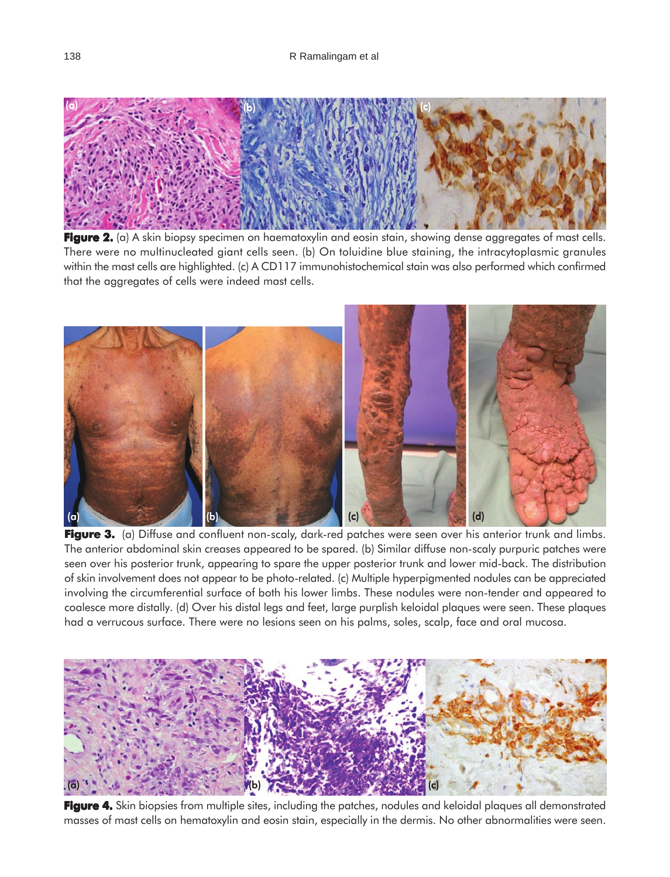

**Figure 2.** (a) A skin biopsy specimen on haematoxylin and eosin stain, showing dense aggregates of mast cells. There were no multinucleated giant cells seen. (b) On toluidine blue staining, the intracytoplasmic granules within the mast cells are highlighted. (c) A CD117 immunohistochemical stain was also performed which confirmed that the aggregates of cells were indeed mast cells.



**Figure 3.** (a) Diffuse and confluent non-scaly, dark-red patches were seen over his anterior trunk and limbs. The anterior abdominal skin creases appeared to be spared. (b) Similar diffuse non-scaly purpuric patches were seen over his posterior trunk, appearing to spare the upper posterior trunk and lower mid-back. The distribution of skin involvement does not appear to be photo-related. (c) Multiple hyperpigmented nodules can be appreciated involving the circumferential surface of both his lower limbs. These nodules were non-tender and appeared to coalesce more distally. (d) Over his distal legs and feet, large purplish keloidal plaques were seen. These plaques had a verrucous surface. There were no lesions seen on his palms, soles, scalp, face and oral mucosa.



**Figure 4.** Skin biopsies from multiple sites, including the patches, nodules and keloidal plaques all demonstrated masses of mast cells on hematoxylin and eosin stain, especially in the dermis. No other abnormalities were seen.